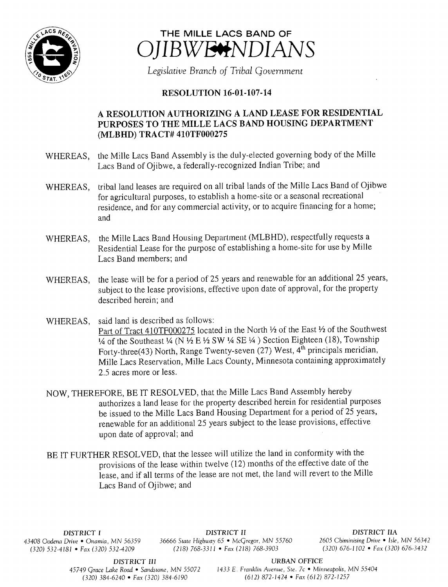



Legislative Branch of Tribal Government

## **RESOLUTION 16-01-107-14**

## A RESOLUTION AUTHORIZING A LAND LEASE FOR RESIDENTIAL PURPOSES TO THE MILLE LACS BAND HOUSING DEPARTMENT MLBHD) TRACT# 410TF000275

- WHEREAS, the Mille Lacs Band Assembly is the duly-elected governing body of the Mille Lacs Band of Ojibwe, a federally-recognized Indian Tribe; and
- WHEREAS, tribal land leases are required on all tribal lands of the Mille Lacs Band of Ojibwe for agricultural purposes, to establish <sup>a</sup> home-site or <sup>a</sup> seasonal recreational residence, and for any commercial activity, or to acquire financing for <sup>a</sup> home; and
- WHEREAS, the Mille Lacs Band Housing Department (MLBHD), respectfully requests <sup>a</sup> Residential Lease for the purpose of establishing a home-site for use by Mille Lacs Band members; and
- WHEREAS, the lease will be for <sup>a</sup> period of 25 years and renewable for an additional 25 years, subject to the lease provisions, effective upon date of approval, for the property described herein; and
- WHEREAS, said land is described as follows: Part of Tract 410TF000275 located in the North 1/2 of the East 1/2 of the Southwest 1/4 of the Southeast 1/4 (N  $\frac{1}{2}$  E  $\frac{1}{2}$  SW 1/4 SE  $\frac{1}{4}$ ) Section Eighteen (18), Township Forty-three(43) North, Range Twenty-seven (27) West,  $4^{\text{th}}$  principals meridian, Mille Lacs Reservation, Mille Lacs County, Minnesota containing approximately 2.5 acres more or less.
- NOW, THEREFORE, BE IT RESOLVED, that the Mille Lacs Band Assembly hereby authorizes <sup>a</sup> land lease for the property described herein for residential purposes be issued to the Mille Lacs Band Housing Department for <sup>a</sup> period of 25 years, renewable for an additional 25 years subject to the lease provisions, effective upon date of approval; and
- BE IT FURTHER RESOLVED, that the lessee will utilize the land in conformity with the provisions of the lease within twelve ( 12) months of the effective date of the lease, and if all terms of the lease are not met, the land will revert to the Mille Lacs Band of Ojibwe; and

 $(320) 532-4181$  • Fax (320) 532-4209

DISTRICT I DISTRICT II DISTRICT II<br>43408 Oodena Drive • Onamia, MN 56359 36666 State Highway 65 • McGregor, MN 55760 2605 Chiminising Drive • Isle, MN 56342 436666 State Highway 65 • McGregor, MN 55760 2605 Chiminising Drive • Isle, MN 56342<br>(218) 768-3311 • Fax (218) 768-3903 (320) 676-1102 • Fax (320) 676-3432

DISTRICT III URBAN OFFICE

45749 Grace Lake Road • Sandstone, MN 55072 1433 E. Franklin Avenue, Ste. 7c • Minneapolis, MN 55404 320) 384- 6240 • Fax( 320) 384- 6190 612) 872- 1424 • Fax( 612) 872- 1257